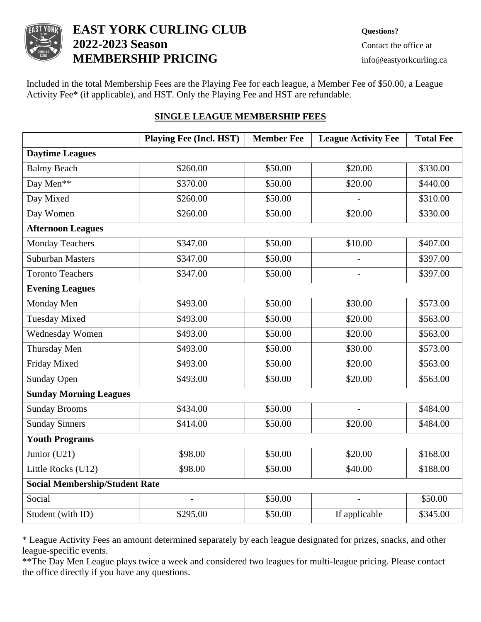

# **EAST YORK CURLING CLUB Questions? 2022-2023 Season** Contact the office at **MEMBERSHIP PRICING** info@eastyorkcurling.ca

Included in the total Membership Fees are the Playing Fee for each league, a Member Fee of \$50.00, a League Activity Fee\* (if applicable), and HST. Only the Playing Fee and HST are refundable.

|                                       | <b>Playing Fee (Incl. HST)</b> | <b>Member Fee</b> | <b>League Activity Fee</b> | <b>Total Fee</b> |
|---------------------------------------|--------------------------------|-------------------|----------------------------|------------------|
| <b>Daytime Leagues</b>                |                                |                   |                            |                  |
| <b>Balmy Beach</b>                    | \$260.00                       | \$50.00           | \$20.00                    | \$330.00         |
| Day Men**                             | \$370.00                       | \$50.00           | \$20.00                    | \$440.00         |
| Day Mixed                             | \$260.00                       | \$50.00           |                            | \$310.00         |
| Day Women                             | \$260.00                       | \$50.00           | \$20.00                    | \$330.00         |
| <b>Afternoon Leagues</b>              |                                |                   |                            |                  |
| <b>Monday Teachers</b>                | \$347.00                       | \$50.00           | \$10.00                    | \$407.00         |
| <b>Suburban Masters</b>               | \$347.00                       | \$50.00           |                            | \$397.00         |
| <b>Toronto Teachers</b>               | \$347.00                       | \$50.00           |                            | \$397.00         |
| <b>Evening Leagues</b>                |                                |                   |                            |                  |
| Monday Men                            | \$493.00                       | \$50.00           | \$30.00                    | \$573.00         |
| <b>Tuesday Mixed</b>                  | \$493.00                       | \$50.00           | \$20.00                    | \$563.00         |
| Wednesday Women                       | \$493.00                       | \$50.00           | \$20.00                    | \$563.00         |
| Thursday Men                          | \$493.00                       | \$50.00           | \$30.00                    | \$573.00         |
| Friday Mixed                          | \$493.00                       | \$50.00           | \$20.00                    | \$563.00         |
| <b>Sunday Open</b>                    | \$493.00                       | \$50.00           | \$20.00                    | \$563.00         |
| <b>Sunday Morning Leagues</b>         |                                |                   |                            |                  |
| <b>Sunday Brooms</b>                  | \$434.00                       | \$50.00           | $\overline{a}$             | \$484.00         |
| <b>Sunday Sinners</b>                 | \$414.00                       | \$50.00           | \$20.00                    | \$484.00         |
| <b>Youth Programs</b>                 |                                |                   |                            |                  |
| Junior (U21)                          | \$98.00                        | \$50.00           | \$20.00                    | \$168.00         |
| Little Rocks (U12)                    | \$98.00                        | \$50.00           | \$40.00                    | \$188.00         |
| <b>Social Membership/Student Rate</b> |                                |                   |                            |                  |

## **SINGLE LEAGUE MEMBERSHIP FEES**

\* League Activity Fees an amount determined separately by each league designated for prizes, snacks, and other league-specific events.

Social 1 - 1 \$50.00 - \$50.00 50.00 Student (with ID)  $$295.00$   $$50.00$  If applicable \$345.00

\*\*The Day Men League plays twice a week and considered two leagues for multi-league pricing. Please contact the office directly if you have any questions.